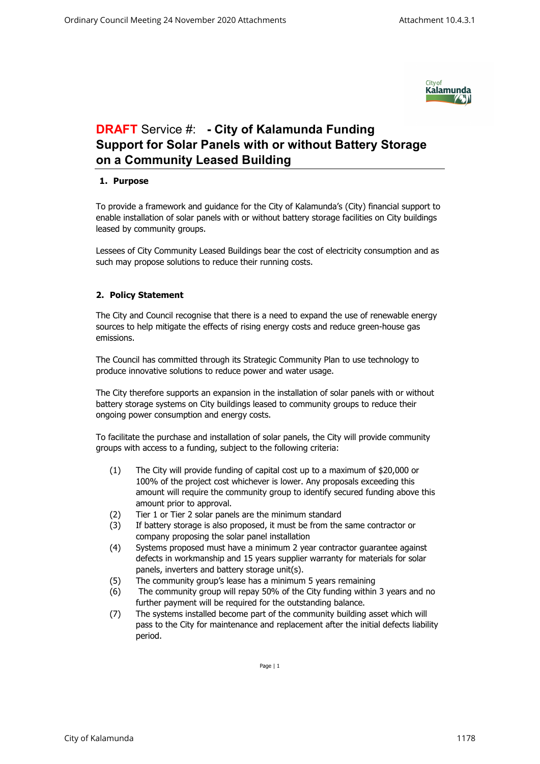

## **DRAFT** Service #: **- City of Kalamunda Funding Support for Solar Panels with or without Battery Storage on a Community Leased Building**

## **1. Purpose**

To provide a framework and guidance for the City of Kalamunda's (City) financial support to enable installation of solar panels with or without battery storage facilities on City buildings leased by community groups.

Lessees of City Community Leased Buildings bear the cost of electricity consumption and as such may propose solutions to reduce their running costs.

## **2. Policy Statement**

The City and Council recognise that there is a need to expand the use of renewable energy sources to help mitigate the effects of rising energy costs and reduce green-house gas emissions.

The Council has committed through its Strategic Community Plan to use technology to produce innovative solutions to reduce power and water usage.

The City therefore supports an expansion in the installation of solar panels with or without battery storage systems on City buildings leased to community groups to reduce their ongoing power consumption and energy costs.

To facilitate the purchase and installation of solar panels, the City will provide community groups with access to a funding, subject to the following criteria:

- (1) The City will provide funding of capital cost up to a maximum of \$20,000 or 100% of the project cost whichever is lower. Any proposals exceeding this amount will require the community group to identify secured funding above this amount prior to approval.
- (2) Tier 1 or Tier 2 solar panels are the minimum standard
- (3) If battery storage is also proposed, it must be from the same contractor or company proposing the solar panel installation
- (4) Systems proposed must have a minimum 2 year contractor guarantee against defects in workmanship and 15 years supplier warranty for materials for solar panels, inverters and battery storage unit(s).
- (5) The community group's lease has a minimum 5 years remaining
- (6) The community group will repay 50% of the City funding within 3 years and no further payment will be required for the outstanding balance.
- (7) The systems installed become part of the community building asset which will pass to the City for maintenance and replacement after the initial defects liability period.

Page | 1